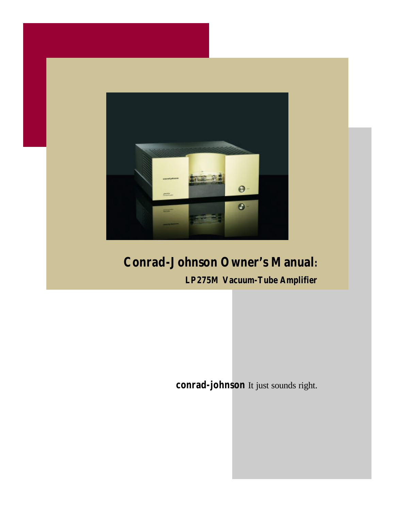

### *Conrad-Johnson Owner's Manual:*

*LP275M Vacuum-Tube Amplifier*

**conrad-johnson** It just sounds right.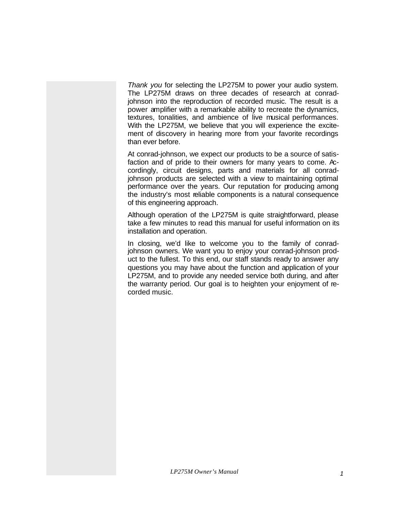*Thank you* for selecting the LP275M to power your audio system. The LP275M draws on three decades of research at conradjohnson into the reproduction of recorded music. The result is a power amplifier with a remarkable ability to recreate the dynamics, textures, tonalities, and ambience of live musical performances. With the LP275M, we believe that you will experience the excitement of discovery in hearing more from your favorite recordings than ever before.

At conrad-johnson, we expect our products to be a source of satisfaction and of pride to their owners for many years to come. Accordingly, circuit designs, parts and materials for all conradjohnson products are selected with a view to maintaining optimal performance over the years. Our reputation for producing among the industry's most reliable components is a natural consequence of this engineering approach.

Although operation of the LP275M is quite straightforward, please take a few minutes to read this manual for useful information on its installation and operation.

In closing, we'd like to welcome you to the family of conradjohnson owners. We want you to enjoy your conrad-johnson product to the fullest. To this end, our staff stands ready to answer any questions you may have about the function and application of your LP275M, and to provide any needed service both during, and after the warranty period. Our goal is to heighten your enjoyment of recorded music.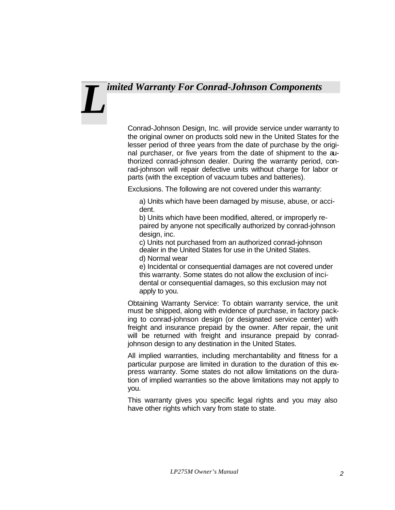## *imited Warranty For Conrad-Johnson Components L*

Conrad-Johnson Design, Inc. will provide service under warranty to the original owner on products sold new in the United States for the lesser period of three years from the date of purchase by the original purchaser, or five years from the date of shipment to the authorized conrad-johnson dealer. During the warranty period, conrad-johnson will repair defective units without charge for labor or parts (with the exception of vacuum tubes and batteries).

Exclusions. The following are not covered under this warranty:

a) Units which have been damaged by misuse, abuse, or accident.

b) Units which have been modified, altered, or improperly repaired by anyone not specifically authorized by conrad-johnson design, inc.

c) Units not purchased from an authorized conrad-johnson dealer in the United States for use in the United States. d) Normal wear

e) Incidental or consequential damages are not covered under this warranty. Some states do not allow the exclusion of incidental or consequential damages, so this exclusion may not apply to you.

Obtaining Warranty Service: To obtain warranty service, the unit must be shipped, along with evidence of purchase, in factory packing to conrad-johnson design (or designated service center) with freight and insurance prepaid by the owner. After repair, the unit will be returned with freight and insurance prepaid by conradjohnson design to any destination in the United States.

All implied warranties, including merchantability and fitness for a particular purpose are limited in duration to the duration of this express warranty. Some states do not allow limitations on the duration of implied warranties so the above limitations may not apply to you.

This warranty gives you specific legal rights and you may also have other rights which vary from state to state.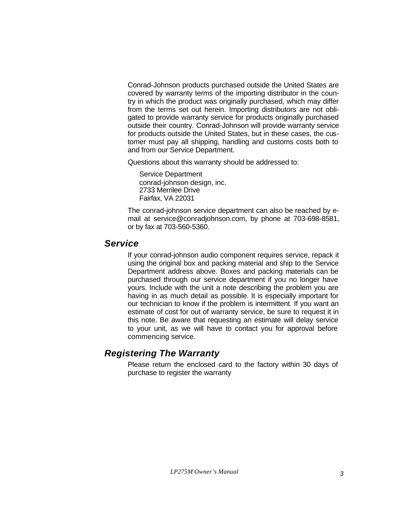Conrad-Johnson products purchased outside the United States are covered by warranty terms of the importing distributor in the country in which the product was originally purchased, which may differ from the terms set out herein. Importing distributors are not obligated to provide warranty service for products originally purchased outside their country. Conrad-Johnson will provide warranty service for products outside the United States, but in these cases, the customer must pay all shipping, handling and customs costs both to and from our Service Department.

Questions about this warranty should be addressed to:

Service Department conrad-johnson design, inc. 2733 Merrilee Drive Fairfax, VA 22031

The conrad-johnson service department can also be reached by email at service@conradjohnson.com, by phone at 703-698-8581, or by fax at 703-560-5360.

#### *Service*

If your conrad-johnson audio component requires service, repack it using the original box and packing material and ship to the Service Department address above. Boxes and packing materials can be purchased through our service department if you no longer have yours. Include with the unit a note describing the problem you are having in as much detail as possible. It is especially important for our technician to know if the problem is intermittent. If you want an estimate of cost for out of warranty service, be sure to request it in this note. Be aware that requesting an estimate will delay service to your unit, as we will have to contact you for approval before commencing service.

#### *Registering The Warranty*

Please return the enclosed card to the factory within 30 days of purchase to register the warranty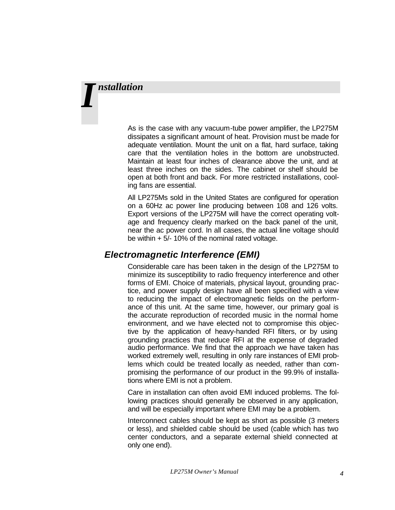## *nstallation I*

As is the case with any vacuum-tube power amplifier, the LP275M dissipates a significant amount of heat. Provision must be made for adequate ventilation. Mount the unit on a flat, hard surface, taking care that the ventilation holes in the bottom are unobstructed. Maintain at least four inches of clearance above the unit, and at least three inches on the sides. The cabinet or shelf should be open at both front and back. For more restricted installations, cooling fans are essential.

All LP275Ms sold in the United States are configured for operation on a 60Hz ac power line producing between 108 and 126 volts. Export versions of the LP275M will have the correct operating voltage and frequency clearly marked on the back panel of the unit, near the ac power cord. In all cases, the actual line voltage should be within + 5/- 10% of the nominal rated voltage.

#### *Electromagnetic Interference (EMI)*

Considerable care has been taken in the design of the LP275M to minimize its susceptibility to radio frequency interference and other forms of EMI. Choice of materials, physical layout, grounding practice, and power supply design have all been specified with a view to reducing the impact of electromagnetic fields on the performance of this unit. At the same time, however, our primary goal is the accurate reproduction of recorded music in the normal home environment, and we have elected not to compromise this objective by the application of heavy-handed RFI filters, or by using grounding practices that reduce RFI at the expense of degraded audio performance. We find that the approach we have taken has worked extremely well, resulting in only rare instances of EMI problems which could be treated locally as needed, rather than compromising the performance of our product in the 99.9% of installations where EMI is not a problem.

Care in installation can often avoid EMI induced problems. The following practices should generally be observed in any application, and will be especially important where EMI may be a problem.

Interconnect cables should be kept as short as possible (3 meters or less), and shielded cable should be used (cable which has two center conductors, and a separate external shield connected at only one end).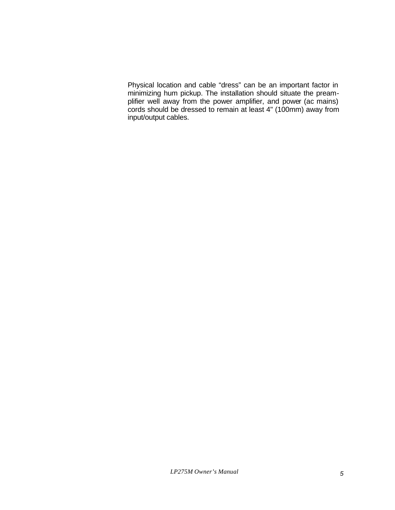Physical location and cable "dress" can be an important factor in minimizing hum pickup. The installation should situate the preamplifier well away from the power amplifier, and power (ac mains) cords should be dressed to remain at least 4" (100mm) away from input/output cables.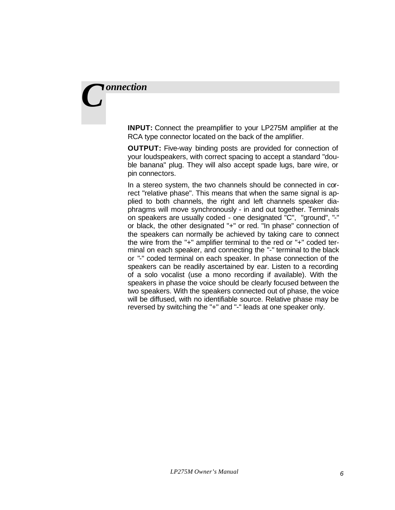### *onnection C*

**INPUT:** Connect the preamplifier to your LP275M amplifier at the RCA type connector located on the back of the amplifier.

**OUTPUT:** Five-way binding posts are provided for connection of your loudspeakers, with correct spacing to accept a standard "double banana" plug. They will also accept spade lugs, bare wire, or pin connectors.

In a stereo system, the two channels should be connected in correct "relative phase". This means that when the same signal is applied to both channels, the right and left channels speaker diaphragms will move synchronously - in and out together. Terminals on speakers are usually coded - one designated "C", "ground", "-" or black, the other designated "+" or red. "In phase" connection of the speakers can normally be achieved by taking care to connect the wire from the "+" amplifier terminal to the red or "+" coded terminal on each speaker, and connecting the "-" terminal to the black or "-" coded terminal on each speaker. In phase connection of the speakers can be readily ascertained by ear. Listen to a recording of a solo vocalist (use a mono recording if available). With the speakers in phase the voice should be clearly focused between the two speakers. With the speakers connected out of phase, the voice will be diffused, with no identifiable source. Relative phase may be reversed by switching the "+" and "-" leads at one speaker only.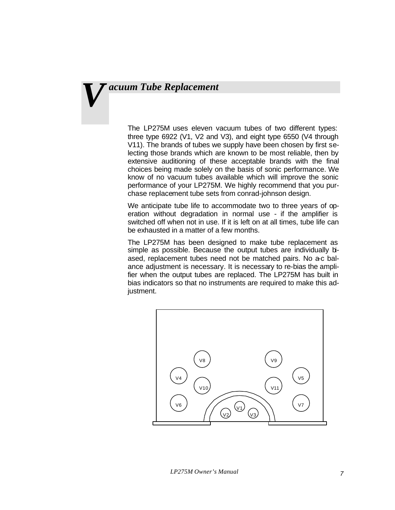## *acuum Tube Replacement V*

The LP275M uses eleven vacuum tubes of two different types: three type 6922 (V1, V2 and V3), and eight type 6550 (V4 through V11). The brands of tubes we supply have been chosen by first selecting those brands which are known to be most reliable, then by extensive auditioning of these acceptable brands with the final choices being made solely on the basis of sonic performance. We know of no vacuum tubes available which will improve the sonic performance of your LP275M. We highly recommend that you purchase replacement tube sets from conrad-johnson design.

We anticipate tube life to accommodate two to three years of operation without degradation in normal use - if the amplifier is switched off when not in use. If it is left on at all times, tube life can be exhausted in a matter of a few months.

The LP275M has been designed to make tube replacement as simple as possible. Because the output tubes are individually biased, replacement tubes need not be matched pairs. No a-c balance adjustment is necessary. It is necessary to re-bias the amplifier when the output tubes are replaced. The LP275M has built in bias indicators so that no instruments are required to make this adjustment.

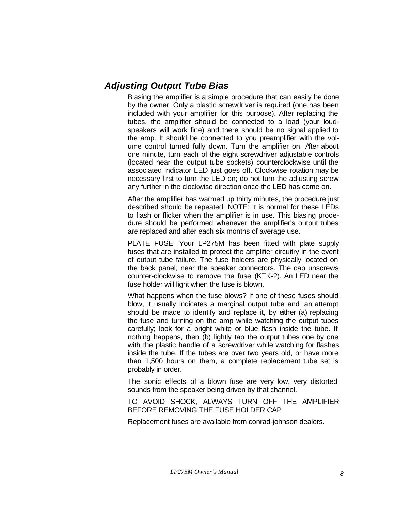#### *Adjusting Output Tube Bias*

Biasing the amplifier is a simple procedure that can easily be done by the owner. Only a plastic screwdriver is required (one has been included with your amplifier for this purpose). After replacing the tubes, the amplifier should be connected to a load (your loudspeakers will work fine) and there should be no signal applied to the amp. It should be connected to you preamplifier with the volume control turned fully down. Turn the amplifier on. After about one minute, turn each of the eight screwdriver adjustable controls (located near the output tube sockets) counterclockwise until the associated indicator LED just goes off. Clockwise rotation may be necessary first to turn the LED on; do not turn the adjusting screw any further in the clockwise direction once the LED has come on.

After the amplifier has warmed up thirty minutes, the procedure just described should be repeated. NOTE: It is normal for these LEDs to flash or flicker when the amplifier is in use. This biasing procedure should be performed whenever the amplifier's output tubes are replaced and after each six months of average use.

PLATE FUSE: Your LP275M has been fitted with plate supply fuses that are installed to protect the amplifier circuitry in the event of output tube failure. The fuse holders are physically located on the back panel, near the speaker connectors. The cap unscrews counter-clockwise to remove the fuse (KTK-2). An LED near the fuse holder will light when the fuse is blown.

What happens when the fuse blows? If one of these fuses should blow, it usually indicates a marginal output tube and an attempt should be made to identify and replace it, by either (a) replacing the fuse and turning on the amp while watching the output tubes carefully; look for a bright white or blue flash inside the tube. If nothing happens, then (b) lightly tap the output tubes one by one with the plastic handle of a screwdriver while watching for flashes inside the tube. If the tubes are over two years old, or have more than 1,500 hours on them, a complete replacement tube set is probably in order.

The sonic effects of a blown fuse are very low, very distorted sounds from the speaker being driven by that channel.

TO AVOID SHOCK, ALWAYS TURN OFF THE AMPLIFIER BEFORE REMOVING THE FUSE HOLDER CAP

Replacement fuses are available from conrad-johnson dealers.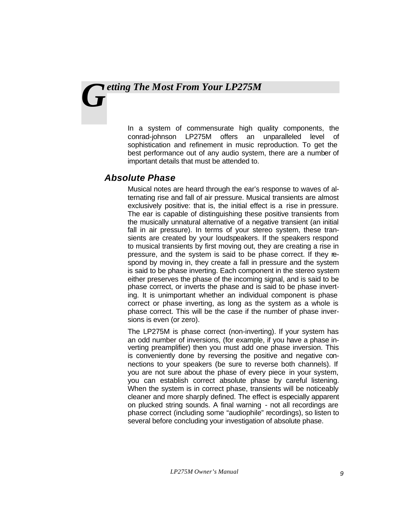## *etting The Most From Your LP275M G*

In a system of commensurate high quality components, the conrad-johnson LP275M offers an unparalleled level of sophistication and refinement in music reproduction. To get the best performance out of any audio system, there are a number of important details that must be attended to.

#### *Absolute Phase*

Musical notes are heard through the ear's response to waves of alternating rise and fall of air pressure. Musical transients are almost exclusively positive: that is, the initial effect is a rise in pressure. The ear is capable of distinguishing these positive transients from the musically unnatural alternative of a negative transient (an initial fall in air pressure). In terms of your stereo system, these transients are created by your loudspeakers. If the speakers respond to musical transients by first moving out, they are creating a rise in pressure, and the system is said to be phase correct. If they respond by moving in, they create a fall in pressure and the system is said to be phase inverting. Each component in the stereo system either preserves the phase of the incoming signal, and is said to be phase correct, or inverts the phase and is said to be phase inverting. It is unimportant whether an individual component is phase correct or phase inverting, as long as the system as a whole is phase correct. This will be the case if the number of phase inversions is even (or zero).

The LP275M is phase correct (non-inverting). If your system has an odd number of inversions, (for example, if you have a phase inverting preamplifier) then you must add one phase inversion. This is conveniently done by reversing the positive and negative connections to your speakers (be sure to reverse both channels). If you are not sure about the phase of every piece in your system, you can establish correct absolute phase by careful listening. When the system is in correct phase, transients will be noticeably cleaner and more sharply defined. The effect is especially apparent on plucked string sounds. A final warning - not all recordings are phase correct (including some "audiophile" recordings), so listen to several before concluding your investigation of absolute phase.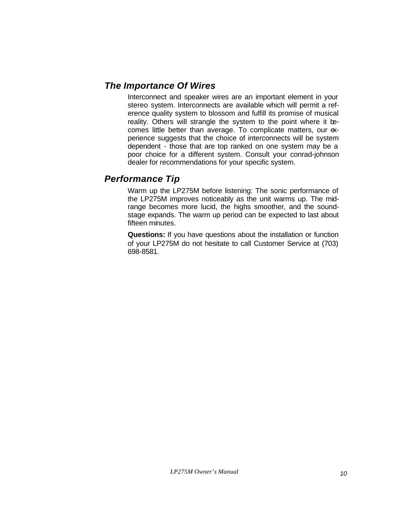#### *The Importance Of Wires*

Interconnect and speaker wires are an important element in your stereo system. Interconnects are available which will permit a reference quality system to blossom and fulfill its promise of musical reality. Others will strangle the system to the point where it becomes little better than average. To complicate matters, our experience suggests that the choice of interconnects will be system dependent - those that are top ranked on one system may be a poor choice for a different system. Consult your conrad-johnson dealer for recommendations for your specific system.

#### *Performance Tip*

Warm up the LP275M before listening: The sonic performance of the LP275M improves noticeably as the unit warms up. The midrange becomes more lucid, the highs smoother, and the soundstage expands. The warm up period can be expected to last about fifteen minutes.

**Questions:** If you have questions about the installation or function of your LP275M do not hesitate to call Customer Service at (703) 698-8581.